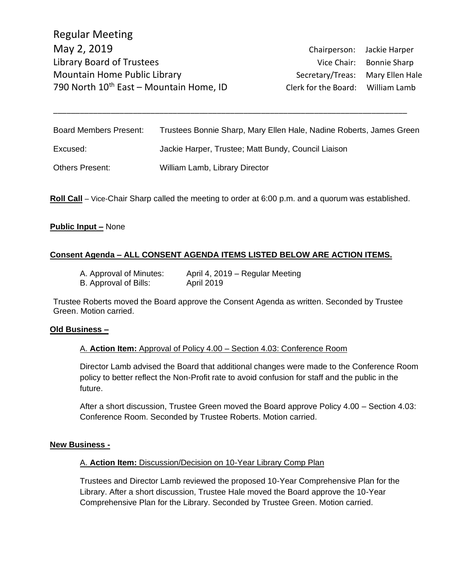| <b>Board Members Present:</b> | Trustees Bonnie Sharp, Mary Ellen Hale, Nadine Roberts, James Green |
|-------------------------------|---------------------------------------------------------------------|
| Excused:                      | Jackie Harper, Trustee; Matt Bundy, Council Liaison                 |
| <b>Others Present:</b>        | William Lamb, Library Director                                      |

\_\_\_\_\_\_\_\_\_\_\_\_\_\_\_\_\_\_\_\_\_\_\_\_\_\_\_\_\_\_\_\_\_\_\_\_\_\_\_\_\_\_\_\_\_\_\_\_\_\_\_\_\_\_\_\_\_\_\_\_\_\_\_\_\_\_\_\_\_\_\_\_\_\_\_\_\_\_\_\_

**Roll Call** – Vice-Chair Sharp called the meeting to order at 6:00 p.m. and a quorum was established.

## **Public Input –** None

# **Consent Agenda – ALL CONSENT AGENDA ITEMS LISTED BELOW ARE ACTION ITEMS.**

- B. Approval of Bills: April 2019
- A. Approval of Minutes: April 4, 2019 Regular Meeting

Trustee Roberts moved the Board approve the Consent Agenda as written. Seconded by Trustee Green. Motion carried.

## **Old Business –**

## A. **Action Item:** Approval of Policy 4.00 – Section 4.03: Conference Room

Director Lamb advised the Board that additional changes were made to the Conference Room policy to better reflect the Non-Profit rate to avoid confusion for staff and the public in the future.

After a short discussion, Trustee Green moved the Board approve Policy 4.00 – Section 4.03: Conference Room. Seconded by Trustee Roberts. Motion carried.

#### **New Business -**

## A. **Action Item:** Discussion/Decision on 10-Year Library Comp Plan

Trustees and Director Lamb reviewed the proposed 10-Year Comprehensive Plan for the Library. After a short discussion, Trustee Hale moved the Board approve the 10-Year Comprehensive Plan for the Library. Seconded by Trustee Green. Motion carried.